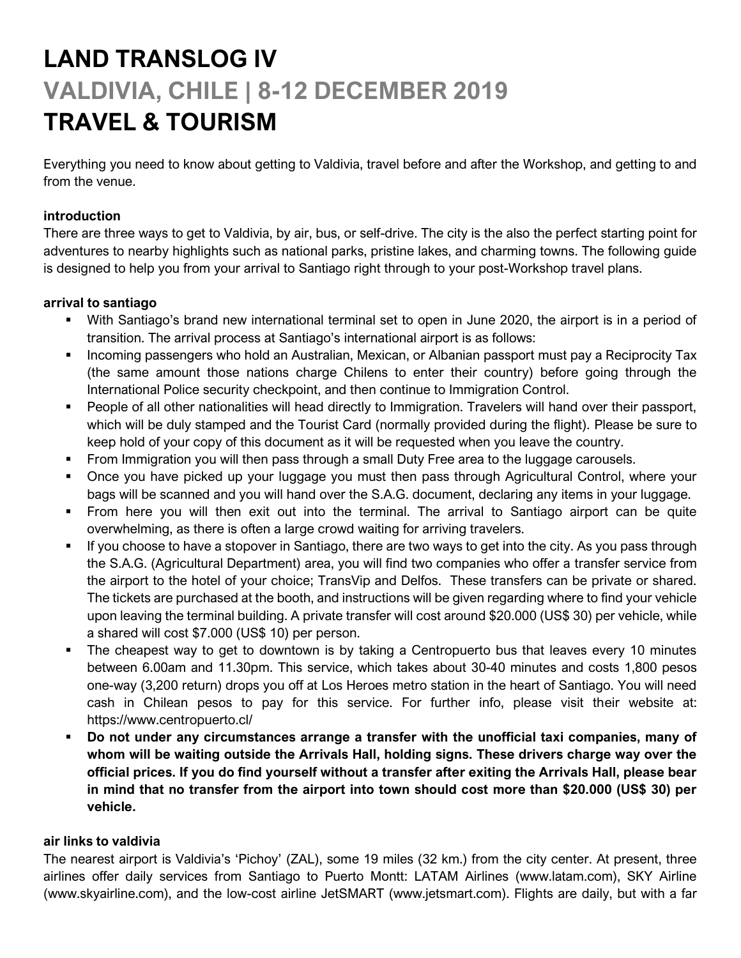# **LAND TRANSLOG IV VALDIVIA, CHILE | 8-12 DECEMBER 2019 TRAVEL & TOURISM**

Everything you need to know about getting to Valdivia, travel before and after the Workshop, and getting to and from the venue.

# **introduction**

There are three ways to get to Valdivia, by air, bus, or self-drive. The city is the also the perfect starting point for adventures to nearby highlights such as national parks, pristine lakes, and charming towns. The following guide is designed to help you from your arrival to Santiago right through to your post-Workshop travel plans.

# **arrival to santiago**

- With Santiago's brand new international terminal set to open in June 2020, the airport is in a period of transition. The arrival process at Santiago's international airport is as follows:
- **Incoming passengers who hold an Australian, Mexican, or Albanian passport must pay a Reciprocity Tax** (the same amount those nations charge Chilens to enter their country) before going through the International Police security checkpoint, and then continue to Immigration Control.
- People of all other nationalities will head directly to Immigration. Travelers will hand over their passport, which will be duly stamped and the Tourist Card (normally provided during the flight). Please be sure to keep hold of your copy of this document as it will be requested when you leave the country.
- **•** From Immigration you will then pass through a small Duty Free area to the luggage carousels.
- Once you have picked up your luggage you must then pass through Agricultural Control, where your bags will be scanned and you will hand over the S.A.G. document, declaring any items in your luggage.
- From here you will then exit out into the terminal. The arrival to Santiago airport can be quite overwhelming, as there is often a large crowd waiting for arriving travelers.
- If you choose to have a stopover in Santiago, there are two ways to get into the city. As you pass through the S.A.G. (Agricultural Department) area, you will find two companies who offer a transfer service from the airport to the hotel of your choice; TransVip and Delfos. These transfers can be private or shared. The tickets are purchased at the booth, and instructions will be given regarding where to find your vehicle upon leaving the terminal building. A private transfer will cost around \$20.000 (US\$ 30) per vehicle, while a shared will cost \$7.000 (US\$ 10) per person.
- The cheapest way to get to downtown is by taking a Centropuerto bus that leaves every 10 minutes between 6.00am and 11.30pm. This service, which takes about 30-40 minutes and costs 1,800 pesos one-way (3,200 return) drops you off at Los Heroes metro station in the heart of Santiago. You will need cash in Chilean pesos to pay for this service. For further info, please visit their website at: https://www.centropuerto.cl/
- **Do not under any circumstances arrange a transfer with the unofficial taxi companies, many of whom will be waiting outside the Arrivals Hall, holding signs. These drivers charge way over the official prices. If you do find yourself without a transfer after exiting the Arrivals Hall, please bear in mind that no transfer from the airport into town should cost more than \$20.000 (US\$ 30) per vehicle.**

## **air links to valdivia**

The nearest airport is Valdivia's 'Pichoy' (ZAL), some 19 miles (32 km.) from the city center. At present, three airlines offer daily services from Santiago to Puerto Montt: LATAM Airlines (www.latam.com), SKY Airline (www.skyairline.com), and the low-cost airline JetSMART (www.jetsmart.com). Flights are daily, but with a far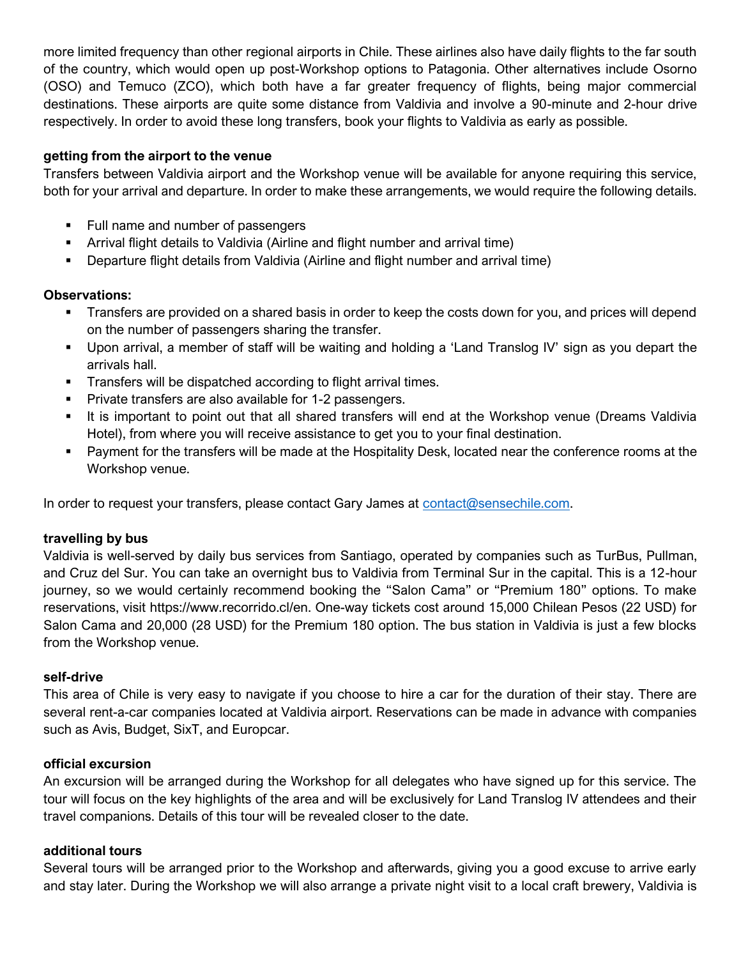more limited frequency than other regional airports in Chile. These airlines also have daily flights to the far south of the country, which would open up post-Workshop options to Patagonia. Other alternatives include Osorno (OSO) and Temuco (ZCO), which both have a far greater frequency of flights, being major commercial destinations. These airports are quite some distance from Valdivia and involve a 90-minute and 2-hour drive respectively. In order to avoid these long transfers, book your flights to Valdivia as early as possible.

#### **getting from the airport to the venue**

Transfers between Valdivia airport and the Workshop venue will be available for anyone requiring this service, both for your arrival and departure. In order to make these arrangements, we would require the following details.

- Full name and number of passengers
- Arrival flight details to Valdivia (Airline and flight number and arrival time)
- Departure flight details from Valdivia (Airline and flight number and arrival time)

#### **Observations:**

- **Transfers are provided on a shared basis in order to keep the costs down for you, and prices will depend** on the number of passengers sharing the transfer.
- Upon arrival, a member of staff will be waiting and holding a 'Land Translog IV' sign as you depart the arrivals hall.
- Transfers will be dispatched according to flight arrival times.
- Private transfers are also available for 1-2 passengers.
- It is important to point out that all shared transfers will end at the Workshop venue (Dreams Valdivia Hotel), from where you will receive assistance to get you to your final destination.
- Payment for the transfers will be made at the Hospitality Desk, located near the conference rooms at the Workshop venue.

In order to request your transfers, please contact Gary James at [contact@sensechile.com.](mailto:contact@sensechile.com)

## **travelling by bus**

Valdivia is well-served by daily bus services from Santiago, operated by companies such as TurBus, Pullman, and Cruz del Sur. You can take an overnight bus to Valdivia from Terminal Sur in the capital. This is a 12-hour journey, so we would certainly recommend booking the "Salon Cama" or "Premium 180" options. To make reservations, visit https://www.recorrido.cl/en. One-way tickets cost around 15,000 Chilean Pesos (22 USD) for Salon Cama and 20,000 (28 USD) for the Premium 180 option. The bus station in Valdivia is just a few blocks from the Workshop venue.

## **self-drive**

This area of Chile is very easy to navigate if you choose to hire a car for the duration of their stay. There are several rent-a-car companies located at Valdivia airport. Reservations can be made in advance with companies such as Avis, Budget, SixT, and Europcar.

#### **official excursion**

An excursion will be arranged during the Workshop for all delegates who have signed up for this service. The tour will focus on the key highlights of the area and will be exclusively for Land Translog IV attendees and their travel companions. Details of this tour will be revealed closer to the date.

#### **additional tours**

Several tours will be arranged prior to the Workshop and afterwards, giving you a good excuse to arrive early and stay later. During the Workshop we will also arrange a private night visit to a local craft brewery, Valdivia is